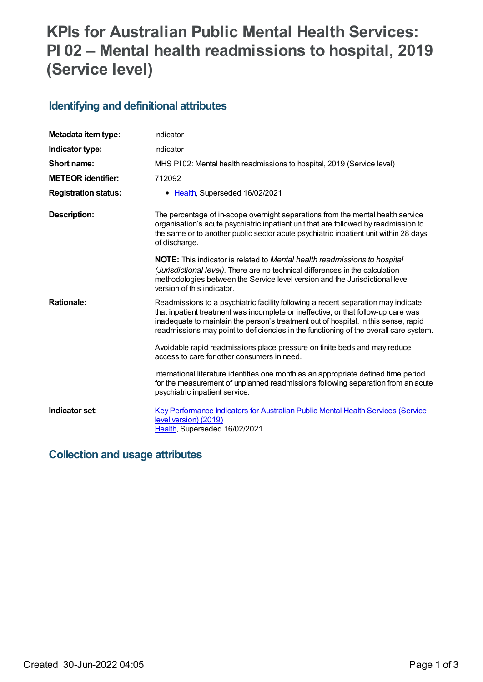# **KPIs for Australian Public Mental Health Services: PI 02 – Mental health readmissions to hospital, 2019 (Service level)**

### **Identifying and definitional attributes**

| Metadata item type:         | Indicator                                                                                                                                                                                                                                                                                                                                               |
|-----------------------------|---------------------------------------------------------------------------------------------------------------------------------------------------------------------------------------------------------------------------------------------------------------------------------------------------------------------------------------------------------|
| Indicator type:             | Indicator                                                                                                                                                                                                                                                                                                                                               |
| Short name:                 | MHS PI02: Mental health readmissions to hospital, 2019 (Service level)                                                                                                                                                                                                                                                                                  |
| <b>METEOR identifier:</b>   | 712092                                                                                                                                                                                                                                                                                                                                                  |
| <b>Registration status:</b> | Health, Superseded 16/02/2021                                                                                                                                                                                                                                                                                                                           |
| <b>Description:</b>         | The percentage of in-scope overnight separations from the mental health service<br>organisation's acute psychiatric inpatient unit that are followed by readmission to<br>the same or to another public sector acute psychiatric inpatient unit within 28 days<br>of discharge.                                                                         |
|                             | <b>NOTE:</b> This indicator is related to Mental health readmissions to hospital<br>(Jurisdictional level). There are no technical differences in the calculation<br>methodologies between the Service level version and the Jurisdictional level<br>version of this indicator.                                                                         |
| <b>Rationale:</b>           | Readmissions to a psychiatric facility following a recent separation may indicate<br>that inpatient treatment was incomplete or ineffective, or that follow-up care was<br>inadequate to maintain the person's treatment out of hospital. In this sense, rapid<br>readmissions may point to deficiencies in the functioning of the overall care system. |
|                             | Avoidable rapid readmissions place pressure on finite beds and may reduce<br>access to care for other consumers in need.                                                                                                                                                                                                                                |
|                             | International literature identifies one month as an appropriate defined time period<br>for the measurement of unplanned readmissions following separation from an acute<br>psychiatric inpatient service.                                                                                                                                               |
| Indicator set:              | <b>Key Performance Indicators for Australian Public Mental Health Services (Service</b><br>level version) (2019)<br>Health, Superseded 16/02/2021                                                                                                                                                                                                       |

### **Collection and usage attributes**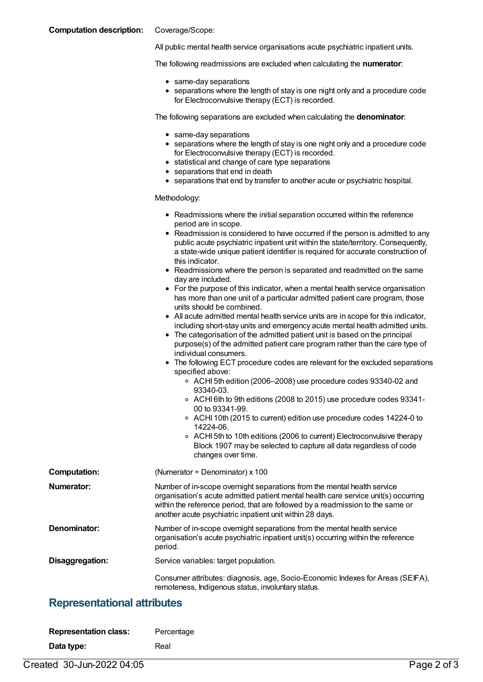#### **Computation description:** Coverage/Scope:

All public mental health service organisations acute psychiatric inpatient units.

The following readmissions are excluded when calculating the **numerator**:

- same-day separations
- separations where the length of stay is one night only and a procedure code for Electroconvulsive therapy (ECT) is recorded.

The following separations are excluded when calculating the **denominator**:

- same-day separations
- separations where the length of stay is one night only and a procedure code for Electroconvulsive therapy (ECT) is recorded.
- statistical and change of care type separations
- separations that end in death
- separations that end by transfer to another acute or psychiatric hospital.

#### Methodology:

|                     | • Readmissions where the initial separation occurred within the reference<br>period are in scope.<br>• Readmission is considered to have occurred if the person is admitted to any<br>public acute psychiatric inpatient unit within the state/territory. Consequently,<br>a state-wide unique patient identifier is required for accurate construction of                                                                                                                                                                                                                                                                                                                                                                                                                                                                                                                                                                                                                                                                                                                                                                                                                                                            |
|---------------------|-----------------------------------------------------------------------------------------------------------------------------------------------------------------------------------------------------------------------------------------------------------------------------------------------------------------------------------------------------------------------------------------------------------------------------------------------------------------------------------------------------------------------------------------------------------------------------------------------------------------------------------------------------------------------------------------------------------------------------------------------------------------------------------------------------------------------------------------------------------------------------------------------------------------------------------------------------------------------------------------------------------------------------------------------------------------------------------------------------------------------------------------------------------------------------------------------------------------------|
|                     | this indicator.<br>• Readmissions where the person is separated and readmitted on the same<br>day are included.<br>• For the purpose of this indicator, when a mental health service organisation<br>has more than one unit of a particular admitted patient care program, those<br>units should be combined.<br>• All acute admitted mental health service units are in scope for this indicator,<br>including short-stay units and emergency acute mental health admitted units.<br>• The categorisation of the admitted patient unit is based on the principal<br>purpose(s) of the admitted patient care program rather than the care type of<br>individual consumers.<br>• The following ECT procedure codes are relevant for the excluded separations<br>specified above:<br>○ ACHI 5th edition (2006–2008) use procedure codes 93340-02 and<br>93340-03.<br>○ ACHI 6th to 9th editions (2008 to 2015) use procedure codes 93341-<br>00 to 93341-99.<br>○ ACHI 10th (2015 to current) edition use procedure codes 14224-0 to<br>14224-06.<br>○ ACHI 5th to 10th editions (2006 to current) Electroconvulsive therapy<br>Block 1907 may be selected to capture all data regardless of code<br>changes over time. |
| <b>Computation:</b> | (Numerator + Denominator) x 100                                                                                                                                                                                                                                                                                                                                                                                                                                                                                                                                                                                                                                                                                                                                                                                                                                                                                                                                                                                                                                                                                                                                                                                       |
| Numerator:          | Number of in-scope overnight separations from the mental health service<br>organisation's acute admitted patient mental health care service unit(s) occurring<br>within the reference period, that are followed by a readmission to the same or<br>another acute psychiatric inpatient unit within 28 days.                                                                                                                                                                                                                                                                                                                                                                                                                                                                                                                                                                                                                                                                                                                                                                                                                                                                                                           |
| Denominator:        | Number of in-scope overnight separations from the mental health service<br>organisation's acute psychiatric inpatient unit(s) occurring within the reference<br>period.                                                                                                                                                                                                                                                                                                                                                                                                                                                                                                                                                                                                                                                                                                                                                                                                                                                                                                                                                                                                                                               |
| Disaggregation:     | Service variables: target population.                                                                                                                                                                                                                                                                                                                                                                                                                                                                                                                                                                                                                                                                                                                                                                                                                                                                                                                                                                                                                                                                                                                                                                                 |
|                     | Consumer attributes: diagnosis, age, Socio-Economic Indexes for Areas (SEIFA),<br>remoteness, Indigenous status, involuntary status.                                                                                                                                                                                                                                                                                                                                                                                                                                                                                                                                                                                                                                                                                                                                                                                                                                                                                                                                                                                                                                                                                  |

#### **Representational attributes**

| <b>Representation class:</b> | Percentage |
|------------------------------|------------|
| Data type:                   | Real       |